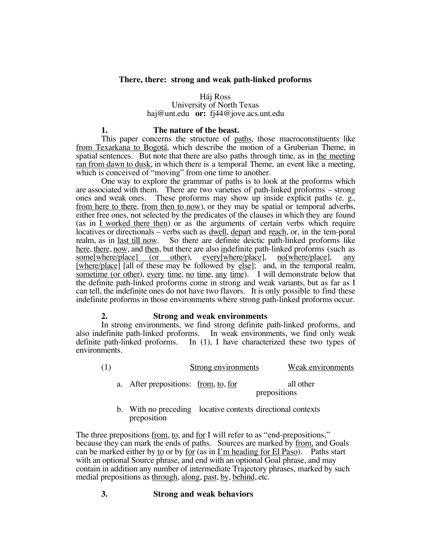## **There, there: strong and weak path-linked proforms**

## Háj Ross

### University of North Texas haj@unt.edu **or:** fj44@jove.acs.unt.edu

#### **1. The nature of the beast.**

This paper concerns the structure of paths, those macroconstituents like from Texarkana to Bogotá, which describe the motion of a Gruberian Theme, in spatial sentences. But note that there are also paths through time, as in the meeting ran from dawn to dusk, in which there is a temporal Theme, an event like a meeting, which is conceived of "moving" from one time to another.

One way to explore the grammar of paths is to look at the proforms which are associated with them. There are two varieties of path-linked proforms – strong ones and weak ones. These proforms may show up inside explicit paths (e. g., from here to there, from then to now), or they may be spatial or temporal adverbs, either free ones, not selected by the predicates of the clauses in which they are found (as in I worked there then) or as the arguments of certain verbs which require locatives or directionals – verbs such as <u>dwell</u>, depart and <u>reach</u>, or, in the tem-poral realm, as in <u>last till now</u>. So there are definite deictic path-linked proforms like here, there, now, and then, but there are also indefinite path-linked proforms (such as some[where/place] (or other), every[where/place], no[where/place], any [where/place] [all of these may be followed by else]; and, in the temporal realm, sometime (or other), every time, no time, any time). I will demonstrate below that the definite path-linked proforms come in strong and weak variants, but as far as I can tell, the indefinite ones do not have two flavors. It is only possible to find these indefinite proforms in those environments where strong path-linked proforms occur.

### **2. Strong and weak environments**

In strong environments, we find strong definite path-linked proforms, and also indefinite path-linked proforms. In weak environments, we find only weak definite path-linked proforms. In (1), I have characterized these two types of environments.

| (1) |                                      | Strong environments |              | Weak environments |
|-----|--------------------------------------|---------------------|--------------|-------------------|
|     | a. After prepositions: from, to, for |                     | prepositions | all other         |
|     |                                      |                     |              |                   |

b. With no preceding locative contexts directional contexts preposition

The three prepositions from, to, and for I will refer to as "end-prepositions," because they can mark the ends of paths. Sources are marked by from, and Goals can be marked either by to or by for (as in I'm heading for El Paso). Paths start with an optional Source phrase, and end with an optional Goal phrase, and may contain in addition any number of intermediate Trajectory phrases, marked by such medial prepositions as through, along, past, by, behind, etc.

## **3. Strong and weak behaviors**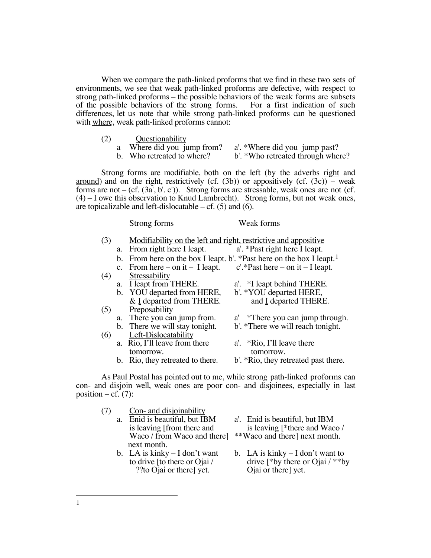When we compare the path-linked proforms that we find in these two sets of environments, we see that weak path-linked proforms are defective, with respect to strong path-linked proforms – the possible behaviors of the weak forms are subsets of the possible behaviors of the strong forms. For a first indication of such differences, let us note that while strong path-linked proforms can be questioned with where, weak path-linked proforms cannot:

- 
- (2) Questionability<br>a Where did you jump from?
	- a Where did you jump from? a'. \*Where did you jump past?<br>b. Who retreated to where? b'. \*Who retreated through when
		-
- b'. \*Who retreated through where?

Strong forms are modifiable, both on the left (by the adverbs right and around) and on the right, restrictively (cf.  $(3b)$ ) or appositively (cf.  $(3c)$ ) – weak forms are not – (cf.  $(3a', b', c')$ ). Strong forms are stressable, weak ones are not (cf. (4) – I owe this observation to Knud Lambrecht). Strong forms, but not weak ones, are topicalizable and left-dislocatable – cf.  $(5)$  and  $(6)$ .

#### Strong forms Weak forms

| (3) |    | Modifiability on the left and right, restrictive and appositive |                                                                                  |  |
|-----|----|-----------------------------------------------------------------|----------------------------------------------------------------------------------|--|
|     | a. | From right here I leapt.                                        | a'. *Past right here I leapt.                                                    |  |
|     |    |                                                                 | b. From here on the box I leapt. b'. *Past here on the box I leapt. <sup>1</sup> |  |
|     |    | c. From here $-$ on it $-$ I leapt.                             | $c'.$ *Past here – on it – I leapt.                                              |  |
| (4) |    | Stressability                                                   |                                                                                  |  |
|     | a. | I leapt from THERE.                                             | a'. *I leapt behind THERE.                                                       |  |
|     |    | b. YOU departed from HERE,                                      | b'. *YOU departed HERE,                                                          |  |
|     |    | & I departed from THERE.                                        | and I departed THERE.                                                            |  |
| (5) |    | Preposability                                                   |                                                                                  |  |
|     |    | a. There you can jump from.                                     | a' *There you can jump through.                                                  |  |
|     |    | b. There we will stay tonight.                                  | b'. *There we will reach tonight.                                                |  |
| (6) |    | Left-Dislocatability                                            |                                                                                  |  |
|     |    | a. Rio, I'll leave from there                                   | a'. *Rio, I'll leave there                                                       |  |
|     |    | tomorrow.                                                       | tomorrow.                                                                        |  |
|     |    | b. Rio, they retreated to there.                                | b'. *Rio, they retreated past there.                                             |  |
|     |    |                                                                 |                                                                                  |  |

As Paul Postal has pointed out to me, while strong path-linked proforms can con- and disjoin well, weak ones are poor con- and disjoinees, especially in last position – cf.  $(7)$ :

| (7) | Con- and disjoinability             |                                             |
|-----|-------------------------------------|---------------------------------------------|
|     | a. Enid is beautiful, but IBM       | a'. Enid is beautiful, but IBM              |
|     | is leaving [from there and          | is leaving [ $*$ there and Waco /           |
|     | Waco / from Waco and there]         | **Waco and there] next month.               |
|     | next month.                         |                                             |
|     | $h \in A$ is kinky $= I$ don't want | $h \times I$ A is kinky $=$ I don't want to |

- ??to Ojai or there] yet. Ojai or there] yet.
- b. LA is kinky I don't want b. LA is kinky I don't want to to drive [to there or Ojai /  $\frac{1}{2}$  drive [\*by there or Ojai / \*\*b to drive [to there or Ojai / drive [\*by there or Ojai / \*\*by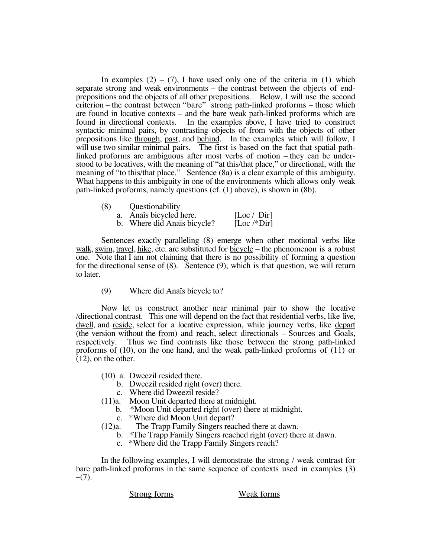In examples  $(2) - (7)$ , I have used only one of the criteria in  $(1)$  which separate strong and weak environments – the contrast between the objects of endprepositions and the objects of all other prepositions. Below, I will use the second criterion – the contrast between "bare" strong path-linked proforms – those which are found in locative contexts – and the bare weak path-linked proforms which are found in directional contexts. In the examples above, I have tried to construct In the examples above, I have tried to construct syntactic minimal pairs, by contrasting objects of <u>from</u> with the objects of other prepositions like through, past, and behind. In the examples which will follow, I will use two similar minimal pairs. The first is based on the fact that spatial pathlinked proforms are ambiguous after most verbs of motion – they can be understood to be locatives, with the meaning of "at this/that place," or directional, with the meaning of "to this/that place." Sentence (8a) is a clear example of this ambiguity. What happens to this ambiguity in one of the environments which allows only weak path-linked proforms, namely questions (cf. (1) above), is shown in (8b).

| (8) | Questionability             |                                |
|-----|-----------------------------|--------------------------------|
|     | Anaîs bicycled here.        | [Loc / Dir]                    |
|     | b. Where did Anaïs bicycle? | [Loc $\sqrt{\frac{1}{2}}$ Dir] |

Sentences exactly paralleling (8) emerge when other motional verbs like walk, swim, travel, hike, etc. are substituted for bicycle – the phenomenon is a robust one. Note that I am not claiming that there is no possibility of forming a question for the directional sense of (8). Sentence (9), which is that question, we will return to later.

(9) Where did Anaîs bicycle to?

Now let us construct another near minimal pair to show the locative directional contrast. This one will depend on the fact that residential verbs, like live, dwell, and reside, select for a locative expression, while journey verbs, like depart (the version without the from) and reach, select directionals – Sources and Goals, respectively. Thus we find contrasts like those between the strong path-linked proforms of (10), on the one hand, and the weak path-linked proforms of (11) or (12), on the other.

- (10) a. Dweezil resided there.
	- b. Dweezil resided right (over) there.
	- c. Where did Dweezil reside?
- (11)a. Moon Unit departed there at midnight.
	- b. \*Moon Unit departed right (over) there at midnight.
	- c. \*Where did Moon Unit depart?
- (12)a. The Trapp Family Singers reached there at dawn.
	- b. \*The Trapp Family Singers reached right (over) there at dawn.
	- c. \*Where did the Trapp Family Singers reach?

In the following examples, I will demonstrate the strong / weak contrast for bare path-linked proforms in the same sequence of contexts used in examples (3)  $-(7)$ .

Strong forms Weak forms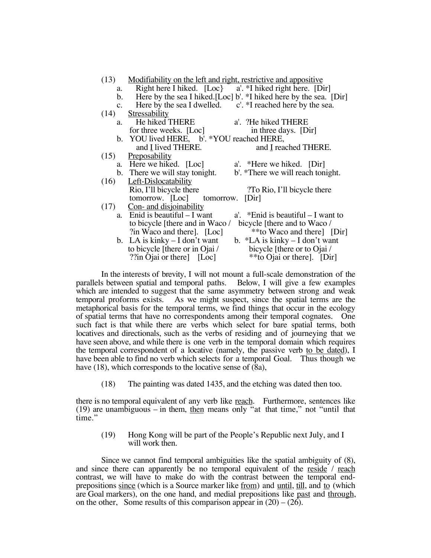|                | (13) Modifiability on the left and right, restrictive and appositive |                                                                   |  |  |
|----------------|----------------------------------------------------------------------|-------------------------------------------------------------------|--|--|
|                | a. Right here I hiked. [Loc} a'. *I hiked right here. [Dir]          |                                                                   |  |  |
| $\mathbf{b}$ . |                                                                      | Here by the sea I hiked.[Loc] b'. *I hiked here by the sea. [Dir] |  |  |
|                | c. Here by the sea I dwelled. $c'.$ *I reached here by the sea.      |                                                                   |  |  |
|                | $(14)$ Stressability                                                 |                                                                   |  |  |
|                | a. He hiked THERE a'. ?He hiked THERE                                |                                                                   |  |  |
|                | for three weeks. [Loc]                                               | in three days. [Dir]                                              |  |  |
|                | b. YOU lived HERE, b'. *YOU reached HERE,                            |                                                                   |  |  |
|                | and I lived THERE.                                                   | and I reached THERE.                                              |  |  |
|                | $(15)$ Preposability                                                 |                                                                   |  |  |
|                | a. Here we hiked. [Loc]                                              | a'. *Here we hiked. [Dir]                                         |  |  |
|                | b. There we will stay tonight.                                       | b'. *There we will reach tonight.                                 |  |  |
|                | $(16)$ Left-Dislocatability                                          |                                                                   |  |  |
|                | Rio, I'll bicycle there<br>To Rio, I'll bicycle there                |                                                                   |  |  |
|                | tomorrow. [Loc] tomorrow. [Dir]                                      |                                                                   |  |  |
|                | $(17)$ Con- and disjoinability                                       |                                                                   |  |  |
|                | a. Enid is beautiful $-I$ want                                       | a'. *Enid is beautiful $-I$ want to                               |  |  |
|                | to bicycle [there and in Waco /                                      | bicycle [there and to Waco /                                      |  |  |
|                | ?in Waco and there]. [Loc]                                           | **to Waco and there [Dir]                                         |  |  |
|                | b. LA is kinky $-I$ don't want                                       | b. *LA is kinky $-I$ don't want                                   |  |  |
|                | to bicycle [there or in Ojai /                                       | bicycle [there or to Ojai /                                       |  |  |
|                | $?$ in Ojai or there [ [Loc]                                         | **to Ojai or there. [Dir]                                         |  |  |
|                |                                                                      |                                                                   |  |  |

In the interests of brevity, I will not mount a full-scale demonstration of the parallels between spatial and temporal paths. Below, I will give a few examples which are intended to suggest that the same asymmetry between strong and weak temporal proforms exists. As we might suspect, since the spatial terms are the metaphorical basis for the temporal terms, we find things that occur in the ecology of spatial terms that have no correspondents among their temporal cognates. One such fact is that while there are verbs which select for bare spatial terms, both locatives and directionals, such as the verbs of residing and of journeying that we have seen above, and while there is one verb in the temporal domain which requires the temporal correspondent of a locative (namely, the passive verb to be dated), I have been able to find no verb which selects for a temporal Goal. Thus though we have (18), which corresponds to the locative sense of (8a),

(18) The painting was dated 1435, and the etching was dated then too.

there is no temporal equivalent of any verb like reach. Furthermore, sentences like (19) are unambiguous – in them, then means only "at that time," not "until that time."

(19) Hong Kong will be part of the People's Republic next July, and I will work then.

Since we cannot find temporal ambiguities like the spatial ambiguity of (8), and since there can apparently be no temporal equivalent of the <u>reside</u> / reach contrast, we will have to make do with the contrast between the temporal endprepositions since (which is a Source marker like from) and until, till, and to (which are Goal markers), on the one hand, and medial prepositions like past and through, on the other, Some results of this comparison appear in  $(20) - (26)$ .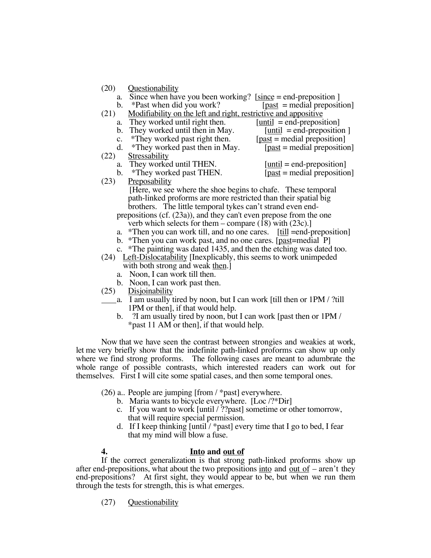- (20) Questionability
	- a. Since when have you been working? [since = end-preposition ]
- b. \*Past when did you work?  $[past = medical \text{precision}]$ (21) Modifiability on the left and right, restrictive and appositive
- a. They worked until right then.  $[until = end-preposition]$ 
	- b. They worked until then in May.  $[until = end-preposition ]$
	-
	- c. \*They worked past right then. [ $_{\text{past}}$  = medial preposition]<br>d. \*They worked past then in May. [ $_{\text{past}}$  = medial preposition] d. \*They worked past then in May.
- (22) Stressability
	- a. They worked until THEN.  $[until = end-preposition]$
	- b.  $*$ They worked past THEN. [past = medial preposition]
- -

(23) Preposability

[Here, we see where the shoe begins to chafe. These temporal path-linked proforms are more restricted than their spatial big brothers. The little temporal tykes can't strand even endprepositions (cf. (23a)), and they can't even prepose from the one

verb which selects for them – compare (18) with (23c).]

- a. \*Then you can work till, and no one cares. [till =end-preposition]
- b. \*Then you can work past, and no one cares. [past=medial P]
- c. \*The painting was dated 1435, and then the etching was dated too.

(24) Left-Dislocatability [Inexplicably, this seems to work unimpeded with both strong and weak then.]

- a. Noon, I can work till then.
- b. Noon, I can work past then.
- (25) Disjoinability
- a. I am usually tired by noon, but I can work [till then or 1PM / ?till 1PM or then], if that would help.
	- b. ?I am usually tired by noon, but I can work [past then or 1PM / \*past 11 AM or then], if that would help.

Now that we have seen the contrast between strongies and weakies at work, let me very briefly show that the indefinite path-linked proforms can show up only where we find strong proforms. The following cases are meant to adumbrate the whole range of possible contrasts, which interested readers can work out for themselves. First I will cite some spatial cases, and then some temporal ones.

- (26) a.. People are jumping [from / \*past] everywhere.
	- b. Maria wants to bicycle everywhere. [Loc /?\*Dir]
	- c. If you want to work [until / ??past] sometime or other tomorrow, that will require special permission.
	- d. If I keep thinking  $[$ until  $/$ \*past $]$  every time that I go to bed, I fear that my mind will blow a fuse.

## **4. Into and out of**

If the correct generalization is that strong path-linked proforms show up after end-prepositions, what about the two prepositions into and out of  $-$  aren't they end-prepositions? At first sight, they would appear to be, but when we run them through the tests for strength, this is what emerges.

(27) Questionability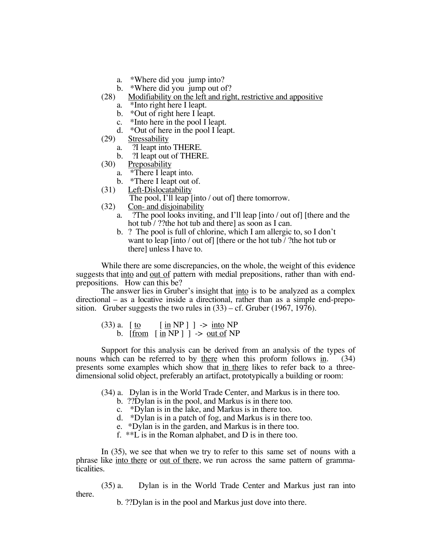- a. \*Where did you jump into?
- b. \*Where did you jump out of?
- (28) Modifiability on the left and right, restrictive and appositive
	- a. \*Into right here I leapt.
	- b. \*Out of right here I leapt.<br>c. \*Into here in the pool I lea
	- \*Into here in the pool I leapt.
- d. \*Out of here in the pool I leapt.<br>(29) Stressability
- Stressability
	- a. ?I leapt into THERE.
	- b. ?I leapt out of THERE.
- (30) Preposability
	- a. \*There I leapt into.
	- b. \*There I leapt out of.
- (31) Left-Dislocatability
	- The pool, I'll leap [into / out of] there tomorrow.
- (32) Con- and disjoinability
	- a. ?The pool looks inviting, and I'll leap [into / out of] [there and the hot tub / ??the hot tub and there] as soon as I can.
	- b. ? The pool is full of chlorine, which I am allergic to, so I don't want to leap [into / out of] [there or the hot tub / ?the hot tub or there] unless I have to.

While there are some discrepancies, on the whole, the weight of this evidence suggests that into and out of pattern with medial prepositions, rather than with endprepositions. How can this be?

The answer lies in Gruber's insight that into is to be analyzed as a complex directional – as a locative inside a directional, rather than as a simple end-preposition. Gruber suggests the two rules in  $(33)$  – cf. Gruber (1967, 1976).

(33) a. 
$$
[\underline{\text{to}} \quad [\underline{\text{in}} \text{NP}] ] \rightarrow \underline{\text{into}} \text{NP}
$$
 b.  $[\underline{\text{from}} \quad [\underline{\text{in}} \text{NP}] ] \rightarrow \underline{\text{out of}} \text{NP}$ 

Support for this analysis can be derived from an analysis of the types of nouns which can be referred to by there when this proform follows in. (34) presents some examples which show that in there likes to refer back to a threedimensional solid object, preferably an artifact, prototypically a building or room:

- (34) a. Dylan is in the World Trade Center, and Markus is in there too.
	- b. ??Dylan is in the pool, and Markus is in there too.
	- c. \*Dylan is in the lake, and Markus is in there too.
	- d. \*Dylan is in a patch of fog, and Markus is in there too.
	- e. \*Dylan is in the garden, and Markus is in there too.
	- f. \*\*L is in the Roman alphabet, and D is in there too.

In (35), we see that when we try to refer to this same set of nouns with a phrase like <u>into there</u> or <u>out of there</u>, we run across the same pattern of grammaticalities.

(35) a. Dylan is in the World Trade Center and Markus just ran into there.

b. ??Dylan is in the pool and Markus just dove into there.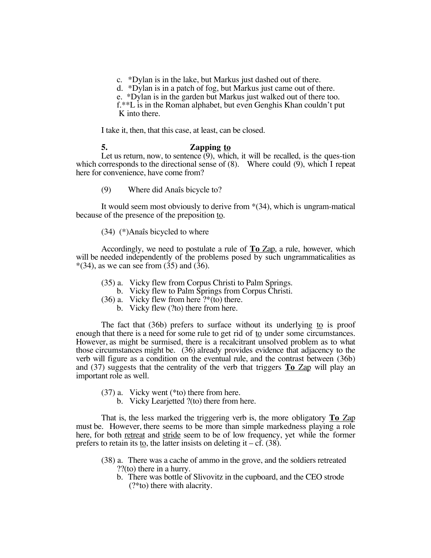c. \*Dylan is in the lake, but Markus just dashed out of there.

d. \*Dylan is in a patch of fog, but Markus just came out of there.

e. \*Dylan is in the garden but Markus just walked out of there too.

f.\*\*L is in the Roman alphabet, but even Genghis Khan couldn't put K into there.

I take it, then, that this case, at least, can be closed.

## **5. Zapping to**

Let us return, now, to sentence  $(9)$ , which, it will be recalled, is the ques-tion which corresponds to the directional sense of  $(8)$ . Where could  $(9)$ , which I repeat here for convenience, have come from?

(9) Where did Anaîs bicycle to?

It would seem most obviously to derive from \*(34), which is ungram-matical because of the presence of the preposition to.

## (34) (\*)Anaîs bicycled to where

Accordingly, we need to postulate a rule of **To** Zap, a rule, however, which will be needed independently of the problems posed by such ungrammaticalities as  $*(34)$ , as we can see from  $(35)$  and  $(36)$ .

- (35) a. Vicky flew from Corpus Christi to Palm Springs.
	- b. Vicky flew to Palm Springs from Corpus Christi.
- (36) a. Vicky flew from here  $?*($ to) there.
	- b. Vicky flew (?to) there from here.

The fact that (36b) prefers to surface without its underlying to is proof enough that there is a need for some rule to get rid of to under some circumstances. However, as might be surmised, there is a recalcitrant unsolved problem as to what those circumstances might be. (36) already provides evidence that adjacency to the verb will figure as a condition on the eventual rule, and the contrast between (36b) and (37) suggests that the centrality of the verb that triggers **To** Zap will play an important role as well.

- (37) a. Vicky went (\*to) there from here.
	- b. Vicky Learjetted ?(to) there from here.

That is, the less marked the triggering verb is, the more obligatory **To** Zap must be. However, there seems to be more than simple markedness playing a role here, for both retreat and stride seem to be of low frequency, yet while the former prefers to retain its to, the latter insists on deleting it –  $cf. (38)$ .

- (38) a. There was a cache of ammo in the grove, and the soldiers retreated ??(to) there in a hurry.
	- b. There was bottle of Slivovitz in the cupboard, and the CEO strode (?\*to) there with alacrity.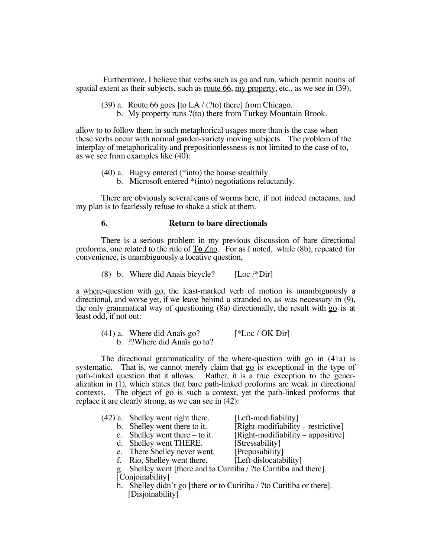Furthermore, I believe that verbs such as go and run, which permit nouns of spatial extent as their subjects, such as <u>route 66, my property</u>, etc., as we see in  $(39)$ ,

# (39) a. Route 66 goes [to LA / (?to) there] from Chicago.

b. My property runs ?(to) there from Turkey Mountain Brook.

allow to to follow them in such metaphorical usages more than is the case when these verbs occur with normal garden-variety moving subjects. The problem of the interplay of metaphoricality and prepositionlessness is not limited to the case of to, as we see from examples like  $(40)$ :

- (40) a. Bugsy entered (\*into) the house stealthily.
	- b. Microsoft entered \*(into) negotiations reluctantly.

There are obviously several cans of worms here, if not indeed metacans, and my plan is to fearlessly refuse to shake a stick at them.

#### **6. Return to bare directionals**

There is a serious problem in my previous discussion of bare directional proforms, one related to the rule of **To** Zap. For as I noted, while (8b), repeated for convenience, is unambiguously a locative question,

(8) b. Where did Anaïs bicycle?  $[Loc \sqrt{*}Dir]$ 

a where-question with go, the least-marked verb of motion is unambiguously a directional, and worse yet, if we leave behind a stranded to, as was necessary in (9), the only grammatical way of questioning (8a) directionally, the result with go is at least odd, if not out:

| $(41)$ a. Where did Anaîs go? | $[*Loc / OK Dir]$ |
|-------------------------------|-------------------|
| b. ??Where did Anaîs go to?   |                   |

The directional grammaticality of the where-question with go in (41a) is systematic. That is, we cannot merely claim that go is exceptional in the type of path-linked question that it allows. Rather, it is a true exception to the generalization in  $(1)$ , which states that bare path-linked proforms are weak in directional contexts. The object of go is such a context, yet the path-linked proforms that replace it are clearly strong, as we can see in (42):

| (42) a. Shelley went right there.                                    | [Left-modifiability]                |
|----------------------------------------------------------------------|-------------------------------------|
| b. Shelley went there to it.                                         | [Right-modifiability – restrictive] |
| c. Shelley went there $-$ to it.                                     | [Right-modifiability – appositive]  |
| d. Shelley went THERE.                                               | [Stressability]                     |
| e. There Shelley never went.                                         | [Preposability]                     |
| f. Rio, Shelley went there.                                          | [Left-dislocatability]              |
| g. Shelley went [there and to Curitiba / ?to Curitiba and there].    |                                     |
| [Conjoinability]                                                     |                                     |
| h. Shelley didn't go [there or to Curitiba / ?to Curitiba or there]. |                                     |
|                                                                      |                                     |

[Disjoinability]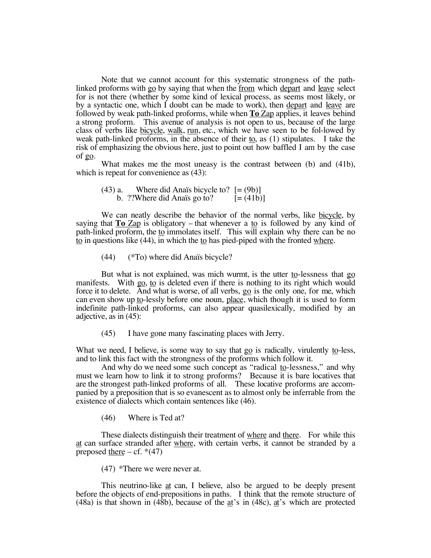Note that we cannot account for this systematic strongness of the pathlinked proforms with go by saying that when the from which depart and leave select for is not there (whether by some kind of lexical process, as seems most likely, or by a syntactic one, which I doubt can be made to work), then depart and leave are followed by weak path-linked proforms, while when **To** Zap applies, it leaves behind a strong proform. This avenue of analysis is not open to us, because of the large class of verbs like bicycle, walk, run, etc., which we have seen to be fol-lowed by weak path-linked proforms, in the absence of their to, as (1) stipulates. I take the risk of emphasizing the obvious here, just to point out how baffled I am by the case of go.

What makes me the most uneasy is the contrast between (b) and (41b), which is repeat for convenience as  $(43)$ :

(43) a. Where did Anaïs bicycle to?  $[=(9b)]$ b. ??Where did Anaïs go to?  $[=(41b)]$ 

We can neatly describe the behavior of the normal verbs, like bicycle, by saying that  $\textbf{To Zap}$  is obligatory – that whenever a to is followed by any kind of path-linked proform, the to immolates itself. This will explain why there can be no to in questions like (44), in which the to has pied-piped with the fronted where.

(44) (\*To) where did Anaïs bicycle?

But what is not explained, was mich wurmt, is the utter to-lessness that go manifests. With go, to is deleted even if there is nothing to its right which would force it to delete. And what is worse, of all verbs, go is the only one, for me, which can even show up to-lessly before one noun, place, which though it is used to form indefinite path-linked proforms, can also appear quasilexically, modified by an adjective, as in (45):

(45) I have gone many fascinating places with Jerry.

What we need, I believe, is some way to say that  $g_0$  is radically, virulently to-less, and to link this fact with the strongness of the proforms which follow it.

And why do we need some such concept as "radical to-lessness," and why must we learn how to link it to strong proforms? Because  $\overline{it}$  is bare locatives that are the strongest path-linked proforms of all. These locative proforms are accompanied by a preposition that is so evanescent as to almost only be inferrable from the existence of dialects which contain sentences like (46).

(46) Where is Ted at?

These dialects distinguish their treatment of where and there. For while this at can surface stranded after where, with certain verbs, it cannot be stranded by a preposed there  $- cf.$  \*(47)

(47) \*There we were never at.

This neutrino-like at can, I believe, also be argued to be deeply present before the objects of end-prepositions in paths. I think that the remote structure of (48a) is that shown in (48b), because of the at's in (48c), at's which are protected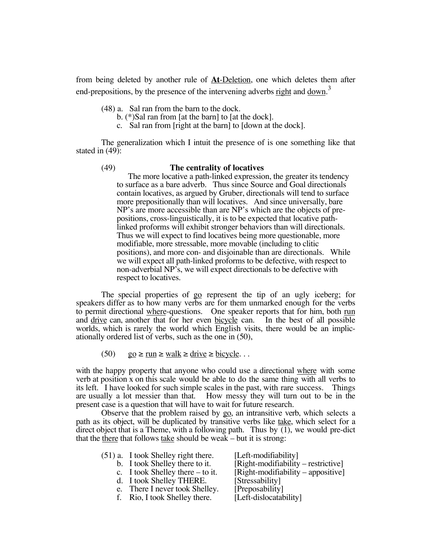from being deleted by another rule of **At**-Deletion, one which deletes them after end-prepositions, by the presence of the intervening adverbs  $\underline{\text{right}}$  and  $\underline{\text{down}}^3$ 

(48) a. Sal ran from the barn to the dock.

- b. (\*)Sal ran from [at the barn] to [at the dock].
- c. Sal ran from [right at the barn] to [down at the dock].

The generalization which I intuit the presence of is one something like that stated in (49):

## (49) **The centrality of locatives**

The more locative a path-linked expression, the greater its tendency to surface as a bare adverb. Thus since Source and Goal directionals contain locatives, as argued by Gruber, directionals will tend to surface more prepositionally than will locatives. And since universally, bare NP's are more accessible than are NP's which are the objects of prepositions, cross-linguistically, it is to be expected that locative pathlinked proforms will exhibit stronger behaviors than will directionals. Thus we will expect to find locatives being more questionable, more modifiable, more stressable, more movable (including to clitic positions), and more con- and disjoinable than are directionals. While we will expect all path-linked proforms to be defective, with respect to non-adverbial NP's, we will expect directionals to be defective with respect to locatives.

The special properties of go represent the tip of an ugly iceberg; for speakers differ as to how many verbs are for them unmarked enough for the verbs to permit directional where-questions. One speaker reports that for him, both run and drive can, another that for her even bicycle can. In the best of all possible worlds, which is rarely the world which English visits, there would be an implicationally ordered list of verbs, such as the one in (50),

(50)  $\qquad \underline{go} \ge \underline{run} \ge \underline{walk} \ge \underline{drive} \ge \underline{bicycle} \dots$ 

with the happy property that anyone who could use a directional where with some verb at position x on this scale would be able to do the same thing with all verbs to its left. I have looked for such simple scales in the past, with rare success. Things are usually a lot messier than that. How messy they will turn out to be in the present case is a question that will have to wait for future research.

Observe that the problem raised by go, an intransitive verb, which selects a path as its object, will be duplicated by transitive verbs like take, which select for a direct object that is a Theme, with a following path. Thus by (1), we would pre-dict that the there that follows take should be weak – but it is strong:

| $(51)$ a. I took Shelley right there. | [Left-modifiability]                 |
|---------------------------------------|--------------------------------------|
| b. I took Shelley there to it.        | $[Right-modifiability-restrictive]$  |
| c. I took Shelley there $-$ to it.    | $[Right-modifiability - appositive]$ |
| d. I took Shelley THERE.              | [Stressability]                      |
| e. There I never took Shelley.        | [Preposability]                      |
| f. Rio, I took Shelley there.         | [Left-dislocatability]               |
|                                       |                                      |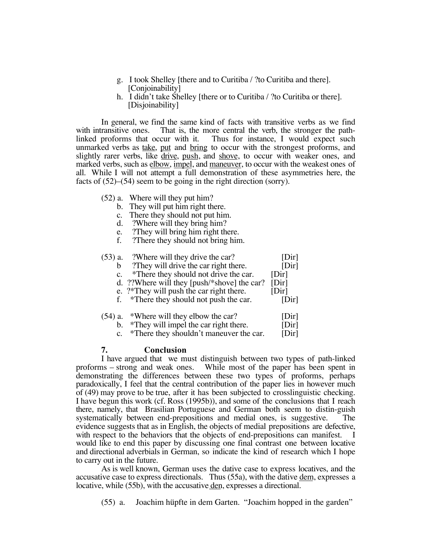- g. I took Shelley [there and to Curitiba / ?to Curitiba and there]. [Conjoinability]
- h. I didn't take Shelley [there or to Curitiba / ?to Curitiba or there]. [Disjoinability]

In general, we find the same kind of facts with transitive verbs as we find with intransitive ones. That is, the more central the verb, the stronger the path-<br>linked proforms that occur with it. Thus for instance, I would expect such Thus for instance, I would expect such unmarked verbs as take, put and bring to occur with the strongest proforms, and slightly rarer verbs, like drive, push, and shove, to occur with weaker ones, and marked verbs, such as elbow, impel, and maneuver, to occur with the weakest ones of all. While I will not attempt a full demonstration of these asymmetries here, the facts of  $(52)$ – $(54)$  seem to be going in the right direction (sorry).

- (52) a. Where will they put him?
	- b. They will put him right there.
	- c. There they should not put him.
	- d. ?Where will they bring him?
	- e. They will bring him right there.<br>f. There they should not bring him
	- ?There they should not bring him.

| $(53)$ a.      | ?Where will they drive the car?             | [Dir] |
|----------------|---------------------------------------------|-------|
| b              | ?They will drive the car right there.       | [Dir] |
| $\mathbf{c}$ . | *There they should not drive the car.       | [Dir] |
|                | d. ??Where will they [push/*shove] the car? | [Dir] |
|                | e. ?*They will push the car right there.    | [Dir] |
|                | f. *There they should not push the car.     | [Dir] |
|                | $(54)$ a. *Where will they elbow the car?   | [Dir] |
| b.             | *They will impel the car right there.       | [Dir] |

c. \*There they shouldn't maneuver the car. [Dir]

#### **7. Conclusion**

I have argued that we must distinguish between two types of path-linked proforms – strong and weak ones. While most of the paper has been spent in demonstrating the differences between these two types of proforms, perhaps paradoxically, I feel that the central contribution of the paper lies in however much of (49) may prove to be true, after it has been subjected to crosslinguistic checking. I have begun this work (cf. Ross (1995b)), and some of the conclusions that I reach there, namely, that Brasilian Portuguese and German both seem to distin-guish systematically between end-prepositions and medial ones, is suggestive. The evidence suggests that as in English, the objects of medial prepositions are defective, with respect to the behaviors that the objects of end-prepositions can manifest. I would like to end this paper by discussing one final contrast one between locative and directional adverbials in German, so indicate the kind of research which I hope to carry out in the future.

As is well known, German uses the dative case to express locatives, and the accusative case to express directionals. Thus (55a), with the dative dem, expresses a locative, while (55b), with the accusative den, expresses a directional.

(55) a. Joachim hüpfte in dem Garten. "Joachim hopped in the garden"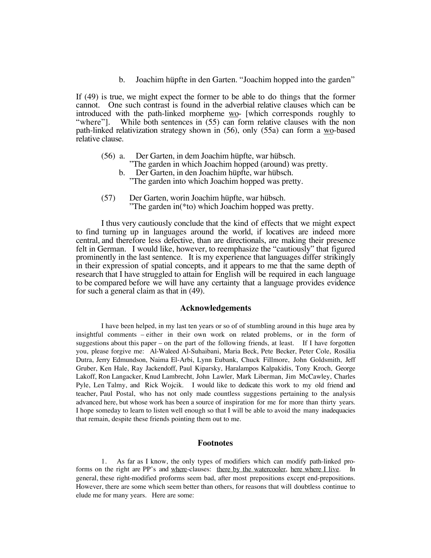b. Joachim hüpfte in den Garten. "Joachim hopped into the garden"

If (49) is true, we might expect the former to be able to do things that the former cannot. One such contrast is found in the adverbial relative clauses which can be introduced with the path-linked morpheme wo- [which corresponds roughly to "where"]. While both sentences in (55) can form relative clauses with the non path-linked relativization strategy shown in (56), only (55a) can form a wo-based relative clause.

- (56) a. Der Garten, in dem Joachim hüpfte, war hübsch. "The garden in which Joachim hopped (around) was pretty.
	- b. Der Garten, in den Joachim hüpfte, war hübsch. "The garden into which Joachim hopped was pretty.
- (57) Der Garten, worin Joachim hüpfte, war hübsch. "The garden in(\*to) which Joachim hopped was pretty.

I thus very cautiously conclude that the kind of effects that we might expect to find turning up in languages around the world, if locatives are indeed more central, and therefore less defective, than are directionals, are making their presence felt in German. I would like, however, to reemphasize the "cautiously" that figured prominently in the last sentence. It is my experience that languages differ strikingly in their expression of spatial concepts, and it appears to me that the same depth of research that I have struggled to attain for English will be required in each language to be compared before we will have any certainty that a language provides evidence for such a general claim as that in (49).

#### **Acknowledgements**

I have been helped, in my last ten years or so of of stumbling around in this huge area by insightful comments – either in their own work on related problems, or in the form of suggestions about this paper – on the part of the following friends, at least. If I have forgotten you, please forgive me: Al-Waleed Al-Suhaibani, Maria Beck, Pete Becker, Peter Cole, Rosália Dutra, Jerry Edmundson, Naima El-Arbi, Lynn Eubank, Chuck Fillmore, John Goldsmith, Jeff Gruber, Ken Hale, Ray Jackendoff, Paul Kiparsky, Haralampos Kalpakidis, Tony Kroch, George Lakoff, Ron Langacker, Knud Lambrecht, John Lawler, Mark Liberman, Jim McCawley, Charles Pyle, Len Talmy, and Rick Wojcik. I would like to dedicate this work to my old friend and teacher, Paul Postal, who has not only made countless suggestions pertaining to the analysis advanced here, but whose work has been a source of inspiration for me for more than thirty years. I hope someday to learn to listen well enough so that I will be able to avoid the many inadequacies that remain, despite these friends pointing them out to me.

#### **Footnotes**

1. As far as I know, the only types of modifiers which can modify path-linked proforms on the right are PP's and where-clauses: there by the watercooler, here where I live. In general, these right-modified proforms seem bad, after most prepositions except end-prepositions. However, there are some which seem better than others, for reasons that will doubtless continue to elude me for many years. Here are some: